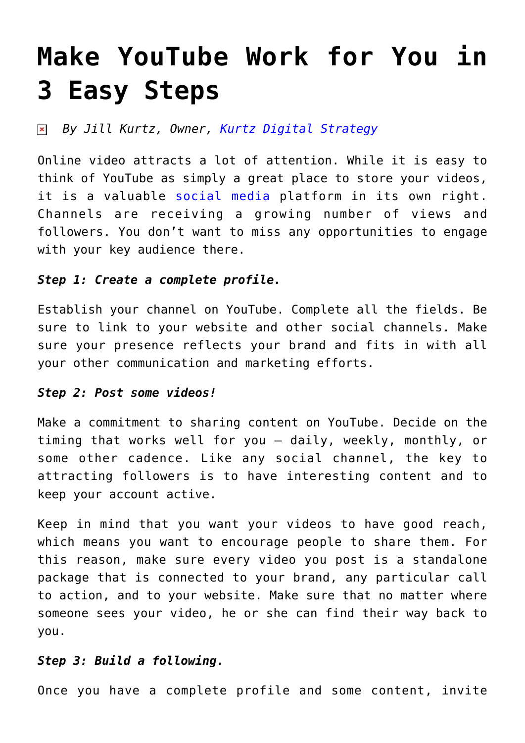# **[Make YouTube Work for You in](https://www.commpro.biz/make-youtube-work-for-you-in-3-easy-steps/) [3 Easy Steps](https://www.commpro.biz/make-youtube-work-for-you-in-3-easy-steps/)**

#### *By Jill Kurtz, Owner, [Kurtz Digital Strategy](https://kurtzdigitalstrategy.com/)*  $\pmb{\times}$

Online video attracts a lot of attention. While it is easy to think of YouTube as simply a great place to store your videos, it is a valuable [social media](https://www.commpro.biz/social-media-section/) platform in its own right. Channels are receiving a growing number of views and followers. You don't want to miss any opportunities to engage with your key audience there.

### *Step 1: Create a complete profile.*

Establish your channel on YouTube. Complete all the fields. Be sure to link to your website and other social channels. Make sure your presence reflects your brand and fits in with all your other communication and marketing efforts.

#### *Step 2: Post some videos!*

Make a commitment to sharing content on YouTube. Decide on the timing that works well for you – daily, weekly, monthly, or some other cadence. Like any social channel, the key to attracting followers is to have interesting content and to keep your account active.

Keep in mind that you want your videos to have good reach, which means you want to encourage people to share them. For this reason, make sure every video you post is a standalone package that is connected to your brand, any particular call to action, and to your website. Make sure that no matter where someone sees your video, he or she can find their way back to you.

## *Step 3: Build a following.*

Once you have a complete profile and some content, invite